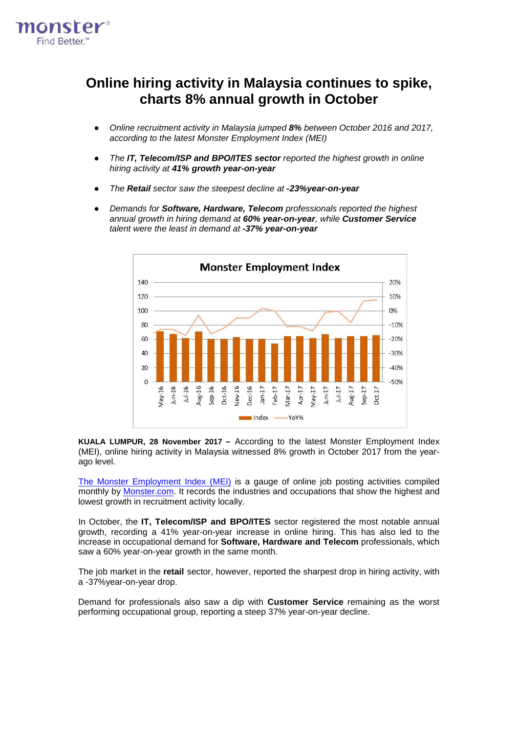

## **Online hiring activity in Malaysia continues to spike, charts 8% annual growth in October**

- *Online recruitment activity in Malaysia jumped 8% between October 2016 and 2017, according to the latest Monster Employment Index (MEI)*
- *The IT, Telecom/ISP and BPO/ITES sector reported the highest growth in online hiring activity at 41% growth year-on-year*
- *The Retail sector saw the steepest decline at -23%year-on-year*
- *Demands for Software, Hardware, Telecom professionals reported the highest annual growth in hiring demand at 60% year-on-year, while Customer Service talent were the least in demand at -37% year-on-year*



**KUALA LUMPUR, 28 November 2017 –** According to the latest Monster Employment Index (MEI), online hiring activity in Malaysia witnessed 8% growth in October 2017 from the yearago level.

The Monster [Employment](http://www.monster.com.my/employment-index/) Index (MEI) is a gauge of online job posting activities compiled monthly by [Monster.com.](http://www.monster.com.my/) It records the industries and occupations that show the highest and lowest growth in recruitment activity locally.

In October, the **IT, Telecom/ISP and BPO/ITES** sector registered the most notable annual growth, recording a 41% year-on-year increase in online hiring. This has also led to the increase in occupational demand for **Software, Hardware and Telecom** professionals, which saw a 60% year-on-year growth in the same month.

The job market in the **retail** sector, however, reported the sharpest drop in hiring activity, with a -37%year-on-year drop.

Demand for professionals also saw a dip with **Customer Service** remaining as the worst performing occupational group, reporting a steep 37% year-on-year decline.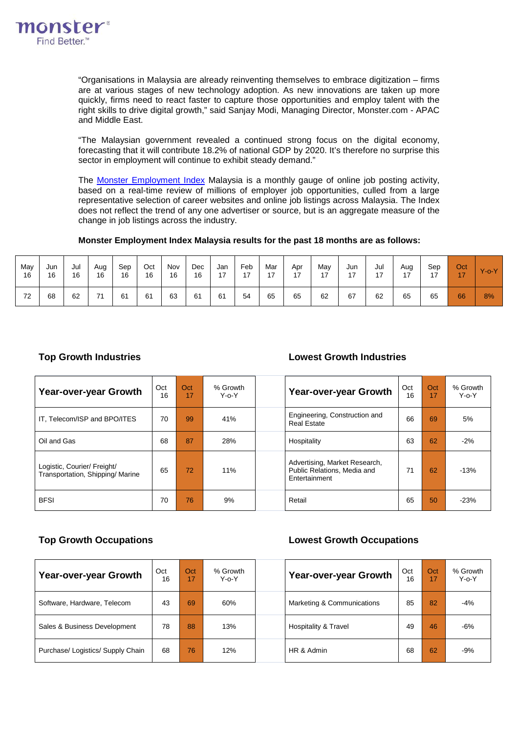

"Organisations in Malaysia are already reinventing themselves to embrace digitization – firms are at various stages of new technology adoption. As new innovations are taken up more quickly, firms need to react faster to capture those opportunities and employ talent with the right skills to drive digital growth," said Sanjay Modi, Managing Director, Monster.com - APAC and Middle East.

"The Malaysian government revealed a continued strong focus on the digital economy, forecasting that it will contribute 18.2% of national GDP by 2020. It's therefore no surprise this sector in employment will continue to exhibit steady demand."

The Monster [Employment](http://www.monster.com.my/employment-index/) Index Malaysia is a monthly gauge of online job posting activity, based on a real-time review of millions of employer job opportunities, culled from a large representative selection of career websites and online job listings across Malaysia. The Index does not reflect the trend of any one advertiser or source, but is an aggregate measure of the change in job listings across the industry.

### **Monster Employment Index Malaysia results for the past 18 months are as follows:**

| May<br>16 | Jun<br>16 | Jul<br>16 | Aug<br>16 | Sep<br>16 | Oct<br>16 | Nov<br>16 | Dec<br>16 | Jan<br>17 | Feb<br>17 | Mar<br>17 | Apr<br>17 | Mav<br>17<br>. . | Jun<br>17 | Jul<br>17 | Aug<br>17 | Sep<br>17 | Oct<br>17 | $Y$ -o- $Y$ |
|-----------|-----------|-----------|-----------|-----------|-----------|-----------|-----------|-----------|-----------|-----------|-----------|------------------|-----------|-----------|-----------|-----------|-----------|-------------|
| 72        | 68        | 62        | 74        | 61        | 61        | 63        | 61        | 61        | 54        | 65        | 65        | 62               | 67        | 62        | 65        | 65        | 66        | 8%          |

### **Top Growth Industries Lowest Growth Industries**

| <b>Year-over-year Growth</b>                                   | Oct<br>16 | Oct<br>17 | % Growth<br>$Y - 0 - Y$ | <b>Year-over-year Growth</b>                                                  | Oct<br>16 | Oct<br>17 | % Growth<br>$Y - 0 - Y$ |
|----------------------------------------------------------------|-----------|-----------|-------------------------|-------------------------------------------------------------------------------|-----------|-----------|-------------------------|
| IT, Telecom/ISP and BPO/ITES                                   | 70        | 99        | 41%                     | Engineering, Construction and<br><b>Real Estate</b>                           | 66        | 69        | 5%                      |
| Oil and Gas                                                    | 68        | 87        | 28%                     | Hospitality                                                                   | 63        | 62        | $-2%$                   |
| Logistic, Courier/ Freight/<br>Transportation, Shipping/Marine | 65        | 72        | 11%                     | Advertising, Market Research,<br>Public Relations, Media and<br>Entertainment | 71        | 62        | $-13%$                  |
| <b>BFSI</b>                                                    | 70        | 76        | 9%                      | Retail                                                                        | 65        | 50        | $-23%$                  |

### **Top Growth Occupations Lowest Growth Occupations**

| Year-over-year Growth             | Oct<br>16 | Oct<br>17 | % Growth<br>$Y - 0 - Y$ | Year-over-year Growth      | Oct<br>16 | Oct<br>17 | % Growth<br>$Y - 0 - Y$ |
|-----------------------------------|-----------|-----------|-------------------------|----------------------------|-----------|-----------|-------------------------|
| Software, Hardware, Telecom       | 43        | 69        | 60%                     | Marketing & Communications | 85        | 82        | $-4%$                   |
| Sales & Business Development      | 78        | 88        | 13%                     | Hospitality & Travel       | 49        | 46        | $-6%$                   |
| Purchase/ Logistics/ Supply Chain | 68        | 76        | 12%                     | HR & Admin                 | 68        | 62        | $-9%$                   |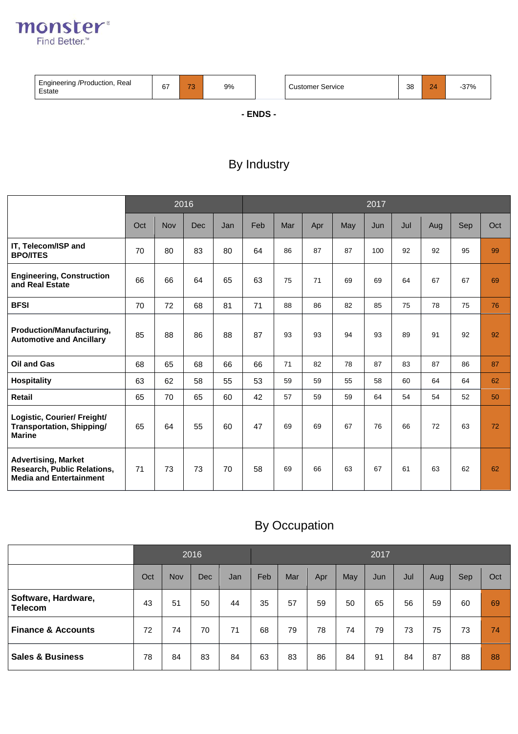

| Engineering /Production, Real<br>Estate | 67 | $\rightarrow$<br>◡ | 9% | <b>Customer Service</b> | 38 | 24 | $-37%$ |
|-----------------------------------------|----|--------------------|----|-------------------------|----|----|--------|

**- ENDS -**

## By Industry

|                                                                                             |     |     | 2016       |     | 2017 |     |     |     |     |     |     |     |     |  |
|---------------------------------------------------------------------------------------------|-----|-----|------------|-----|------|-----|-----|-----|-----|-----|-----|-----|-----|--|
|                                                                                             | Oct | Nov | <b>Dec</b> | Jan | Feb  | Mar | Apr | May | Jun | Jul | Aug | Sep | Oct |  |
| IT, Telecom/ISP and<br><b>BPO/ITES</b>                                                      | 70  | 80  | 83         | 80  | 64   | 86  | 87  | 87  | 100 | 92  | 92  | 95  | 99  |  |
| <b>Engineering, Construction</b><br>and Real Estate                                         | 66  | 66  | 64         | 65  | 63   | 75  | 71  | 69  | 69  | 64  | 67  | 67  | 69  |  |
| <b>BFSI</b>                                                                                 | 70  | 72  | 68         | 81  | 71   | 88  | 86  | 82  | 85  | 75  | 78  | 75  | 76  |  |
| Production/Manufacturing,<br><b>Automotive and Ancillary</b>                                | 85  | 88  | 86         | 88  | 87   | 93  | 93  | 94  | 93  | 89  | 91  | 92  | 92  |  |
| Oil and Gas                                                                                 | 68  | 65  | 68         | 66  | 66   | 71  | 82  | 78  | 87  | 83  | 87  | 86  | 87  |  |
| <b>Hospitality</b>                                                                          | 63  | 62  | 58         | 55  | 53   | 59  | 59  | 55  | 58  | 60  | 64  | 64  | 62  |  |
| <b>Retail</b>                                                                               | 65  | 70  | 65         | 60  | 42   | 57  | 59  | 59  | 64  | 54  | 54  | 52  | 50  |  |
| Logistic, Courier/ Freight/<br>Transportation, Shipping/<br><b>Marine</b>                   | 65  | 64  | 55         | 60  | 47   | 69  | 69  | 67  | 76  | 66  | 72  | 63  | 72  |  |
| <b>Advertising, Market</b><br>Research, Public Relations,<br><b>Media and Entertainment</b> | 71  | 73  | 73         | 70  | 58   | 69  | 66  | 63  | 67  | 61  | 63  | 62  | 62  |  |

# By Occupation

|                                       |     |     | 2016 |     | 2017 |     |     |     |     |     |     |     |     |  |
|---------------------------------------|-----|-----|------|-----|------|-----|-----|-----|-----|-----|-----|-----|-----|--|
|                                       | Oct | Nov | Dec  | Jan | Feb  | Mar | Apr | May | Jun | Jul | Aug | Sep | Oct |  |
| Software, Hardware,<br><b>Telecom</b> | 43  | 51  | 50   | 44  | 35   | 57  | 59  | 50  | 65  | 56  | 59  | 60  | 69  |  |
| <b>Finance &amp; Accounts</b>         | 72  | 74  | 70   | 71  | 68   | 79  | 78  | 74  | 79  | 73  | 75  | 73  | 74  |  |
| <b>Sales &amp; Business</b>           | 78  | 84  | 83   | 84  | 63   | 83  | 86  | 84  | 91  | 84  | 87  | 88  | 88  |  |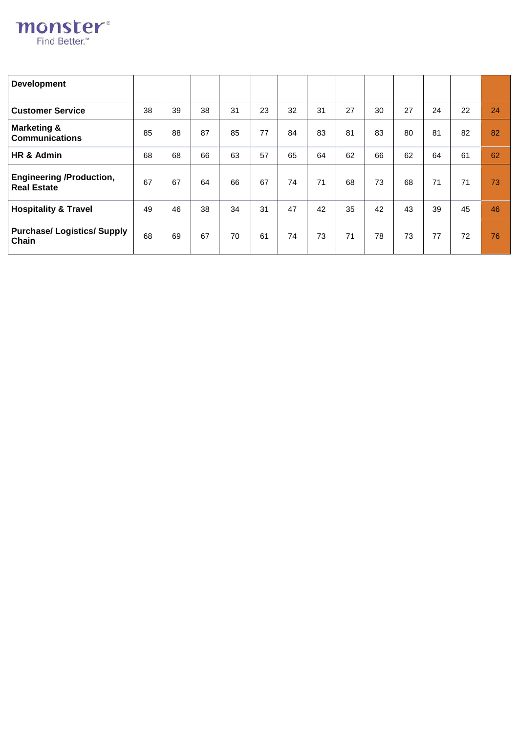

| <b>Development</b>                                    |    |    |    |    |    |    |    |    |    |    |    |    |    |
|-------------------------------------------------------|----|----|----|----|----|----|----|----|----|----|----|----|----|
| <b>Customer Service</b>                               | 38 | 39 | 38 | 31 | 23 | 32 | 31 | 27 | 30 | 27 | 24 | 22 | 24 |
| <b>Marketing &amp;</b><br><b>Communications</b>       | 85 | 88 | 87 | 85 | 77 | 84 | 83 | 81 | 83 | 80 | 81 | 82 | 82 |
| HR & Admin                                            | 68 | 68 | 66 | 63 | 57 | 65 | 64 | 62 | 66 | 62 | 64 | 61 | 62 |
| <b>Engineering /Production,</b><br><b>Real Estate</b> | 67 | 67 | 64 | 66 | 67 | 74 | 71 | 68 | 73 | 68 | 71 | 71 | 73 |
| <b>Hospitality &amp; Travel</b>                       | 49 | 46 | 38 | 34 | 31 | 47 | 42 | 35 | 42 | 43 | 39 | 45 | 46 |
| <b>Purchase/Logistics/Supply</b><br>Chain             | 68 | 69 | 67 | 70 | 61 | 74 | 73 | 71 | 78 | 73 | 77 | 72 | 76 |